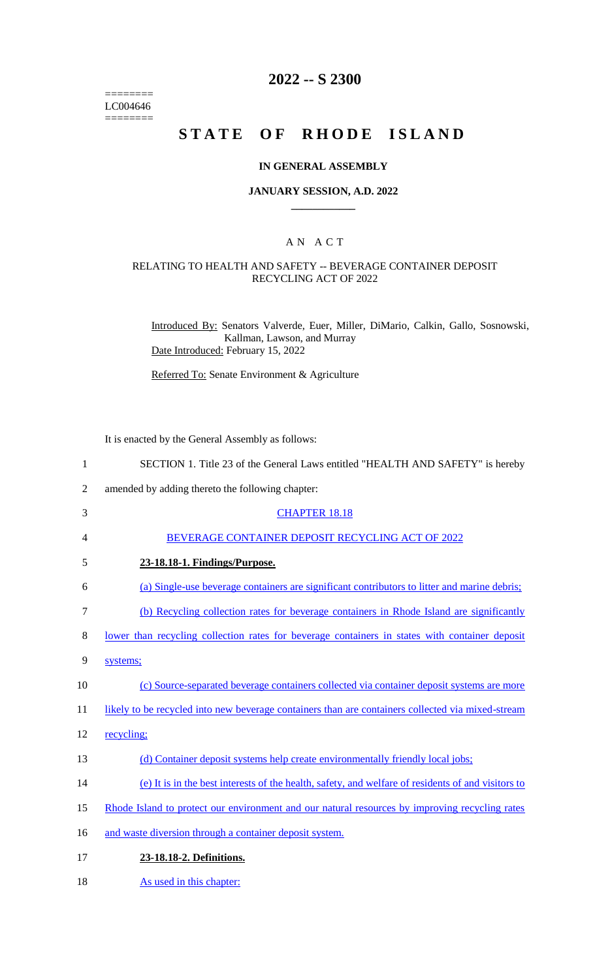======== LC004646  $=$ 

# **2022 -- S 2300**

# **STATE OF RHODE ISLAND**

#### **IN GENERAL ASSEMBLY**

#### **JANUARY SESSION, A.D. 2022 \_\_\_\_\_\_\_\_\_\_\_\_**

#### A N A C T

#### RELATING TO HEALTH AND SAFETY -- BEVERAGE CONTAINER DEPOSIT RECYCLING ACT OF 2022

Introduced By: Senators Valverde, Euer, Miller, DiMario, Calkin, Gallo, Sosnowski, Kallman, Lawson, and Murray Date Introduced: February 15, 2022

Referred To: Senate Environment & Agriculture

It is enacted by the General Assembly as follows:

| $\mathbf{1}$   | SECTION 1. Title 23 of the General Laws entitled "HEALTH AND SAFETY" is hereby                     |
|----------------|----------------------------------------------------------------------------------------------------|
| $\overline{2}$ | amended by adding thereto the following chapter:                                                   |
| 3              | <b>CHAPTER 18.18</b>                                                                               |
| 4              | BEVERAGE CONTAINER DEPOSIT RECYCLING ACT OF 2022                                                   |
| 5              | 23-18.18-1. Findings/Purpose.                                                                      |
| 6              | (a) Single-use beverage containers are significant contributors to litter and marine debris;       |
| $\tau$         | (b) Recycling collection rates for beverage containers in Rhode Island are significantly           |
| 8              | lower than recycling collection rates for beverage containers in states with container deposit     |
| 9              | systems;                                                                                           |
| 10             | (c) Source-separated beverage containers collected via container deposit systems are more          |
| 11             | likely to be recycled into new beverage containers than are containers collected via mixed-stream  |
| 12             | recycling;                                                                                         |
| 13             | (d) Container deposit systems help create environmentally friendly local jobs;                     |
| 14             | (e) It is in the best interests of the health, safety, and welfare of residents of and visitors to |
| 15             | Rhode Island to protect our environment and our natural resources by improving recycling rates     |
| 16             | and waste diversion through a container deposit system.                                            |
| 17             | 23-18.18-2. Definitions.                                                                           |
| 18             | As used in this chapter:                                                                           |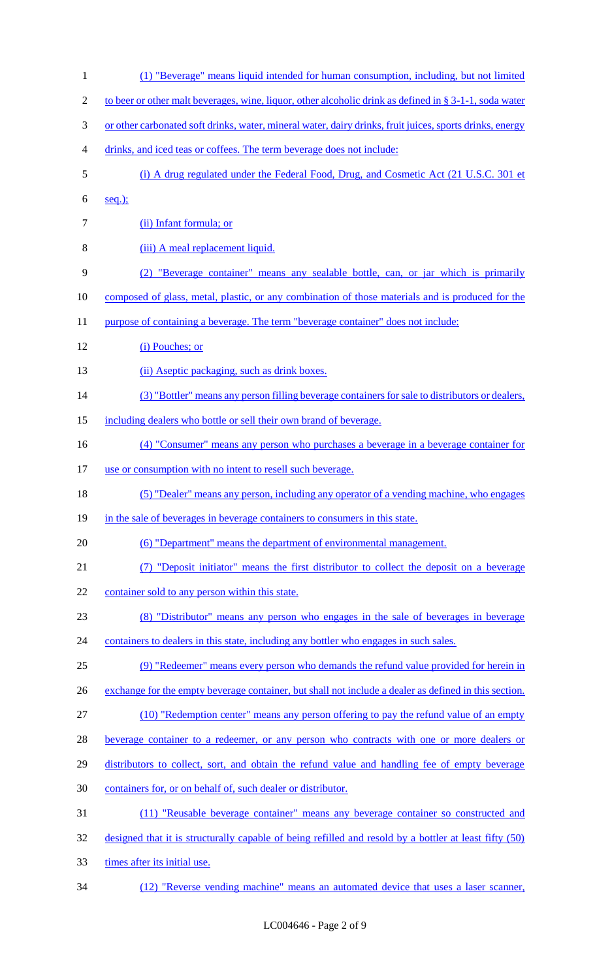(1) "Beverage" means liquid intended for human consumption, including, but not limited 2 to beer or other malt beverages, wine, liquor, other alcoholic drink as defined in § 3-1-1, soda water 3 or other carbonated soft drinks, water, mineral water, dairy drinks, fruit juices, sports drinks, energy drinks, and iced teas or coffees. The term beverage does not include: (i) A drug regulated under the Federal Food, Drug, and Cosmetic Act (21 U.S.C. 301 et seq.); (ii) Infant formula; or (iii) A meal replacement liquid. (2) "Beverage container" means any sealable bottle, can, or jar which is primarily composed of glass, metal, plastic, or any combination of those materials and is produced for the 11 purpose of containing a beverage. The term "beverage container" does not include: (i) Pouches; or 13 (ii) Aseptic packaging, such as drink boxes. (3) "Bottler" means any person filling beverage containers for sale to distributors or dealers, 15 including dealers who bottle or sell their own brand of beverage. (4) "Consumer" means any person who purchases a beverage in a beverage container for 17 use or consumption with no intent to resell such beverage. (5) "Dealer" means any person, including any operator of a vending machine, who engages 19 in the sale of beverages in beverage containers to consumers in this state. (6) "Department" means the department of environmental management. (7) "Deposit initiator" means the first distributor to collect the deposit on a beverage 22 container sold to any person within this state. (8) "Distributor" means any person who engages in the sale of beverages in beverage 24 containers to dealers in this state, including any bottler who engages in such sales. (9) "Redeemer" means every person who demands the refund value provided for herein in 26 exchange for the empty beverage container, but shall not include a dealer as defined in this section. (10) "Redemption center" means any person offering to pay the refund value of an empty beverage container to a redeemer, or any person who contracts with one or more dealers or distributors to collect, sort, and obtain the refund value and handling fee of empty beverage containers for, or on behalf of, such dealer or distributor. (11) "Reusable beverage container" means any beverage container so constructed and designed that it is structurally capable of being refilled and resold by a bottler at least fifty (50) times after its initial use. (12) "Reverse vending machine" means an automated device that uses a laser scanner,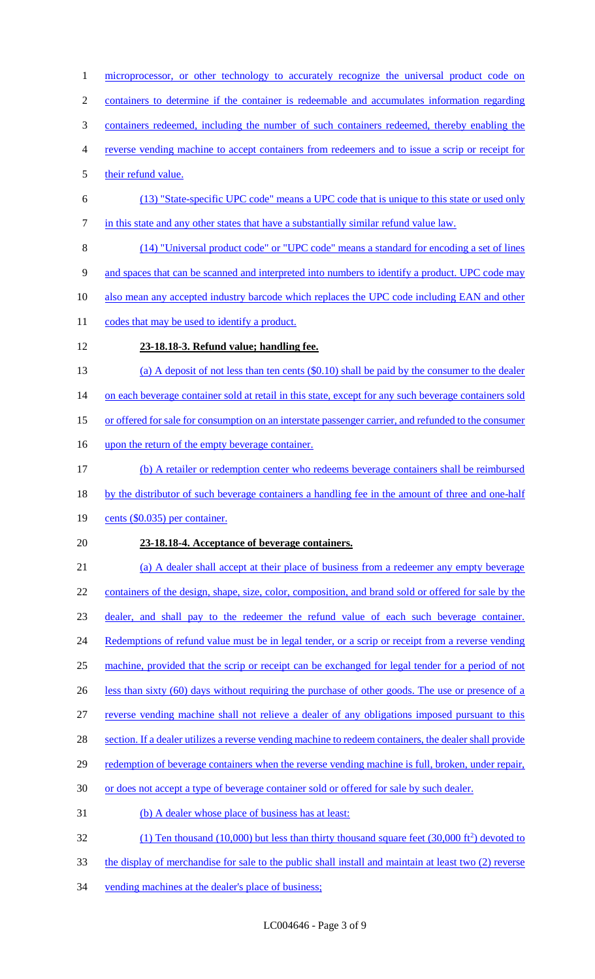- microprocessor, or other technology to accurately recognize the universal product code on
- containers to determine if the container is redeemable and accumulates information regarding
- containers redeemed, including the number of such containers redeemed, thereby enabling the
- reverse vending machine to accept containers from redeemers and to issue a scrip or receipt for
- their refund value.
- (13) "State-specific UPC code" means a UPC code that is unique to this state or used only 7 in this state and any other states that have a substantially similar refund value law.
- (14) "Universal product code" or "UPC code" means a standard for encoding a set of lines
- and spaces that can be scanned and interpreted into numbers to identify a product. UPC code may
- 10 also mean any accepted industry barcode which replaces the UPC code including EAN and other
- 11 codes that may be used to identify a product.
- **23-18.18-3. Refund value; handling fee.**
- (a) A deposit of not less than ten cents (\$0.10) shall be paid by the consumer to the dealer
- 14 on each beverage container sold at retail in this state, except for any such beverage containers sold
- or offered for sale for consumption on an interstate passenger carrier, and refunded to the consumer
- 16 upon the return of the empty beverage container.
- (b) A retailer or redemption center who redeems beverage containers shall be reimbursed
- 18 by the distributor of such beverage containers a handling fee in the amount of three and one-half
- cents (\$0.035) per container.

## **23-18.18-4. Acceptance of beverage containers.**

 (a) A dealer shall accept at their place of business from a redeemer any empty beverage 22 containers of the design, shape, size, color, composition, and brand sold or offered for sale by the dealer, and shall pay to the redeemer the refund value of each such beverage container. 24 Redemptions of refund value must be in legal tender, or a scrip or receipt from a reverse vending machine, provided that the scrip or receipt can be exchanged for legal tender for a period of not 26 less than sixty (60) days without requiring the purchase of other goods. The use or presence of a reverse vending machine shall not relieve a dealer of any obligations imposed pursuant to this 28 section. If a dealer utilizes a reverse vending machine to redeem containers, the dealer shall provide 29 redemption of beverage containers when the reverse vending machine is full, broken, under repair, or does not accept a type of beverage container sold or offered for sale by such dealer. (b) A dealer whose place of business has at least:  $(1)$  Ten thousand (10,000) but less than thirty thousand square feet (30,000 ft<sup>2</sup>) devoted to

- the display of merchandise for sale to the public shall install and maintain at least two (2) reverse
- vending machines at the dealer's place of business;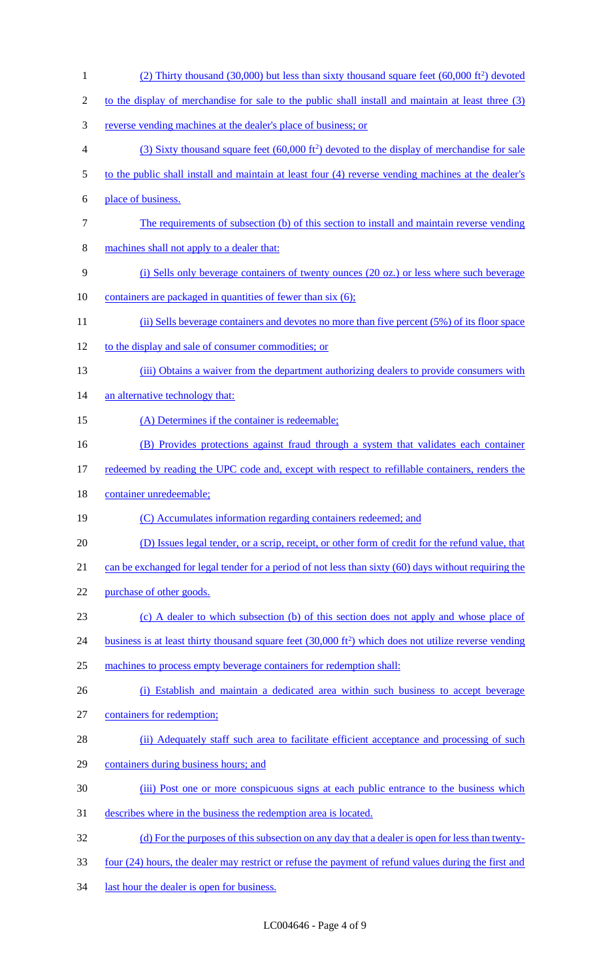(2) Thirty thousand  $(30,000)$  but less than sixty thousand square feet  $(60,000 \text{ ft}^2)$  devoted 2 to the display of merchandise for sale to the public shall install and maintain at least three (3) 3 reverse vending machines at the dealer's place of business; or (3) Sixty thousand square feet  $(60,000 \text{ ft}^2)$  devoted to the display of merchandise for sale 5 to the public shall install and maintain at least four (4) reverse vending machines at the dealer's 6 place of business. 7 The requirements of subsection (b) of this section to install and maintain reverse vending 8 machines shall not apply to a dealer that: 9 (i) Sells only beverage containers of twenty ounces (20 oz.) or less where such beverage 10 containers are packaged in quantities of fewer than six (6); 11 (ii) Sells beverage containers and devotes no more than five percent (5%) of its floor space 12 to the display and sale of consumer commodities; or 13 (iii) Obtains a waiver from the department authorizing dealers to provide consumers with 14 an alternative technology that: 15 (A) Determines if the container is redeemable; 16 (B) Provides protections against fraud through a system that validates each container 17 redeemed by reading the UPC code and, except with respect to refillable containers, renders the 18 container unredeemable; 19 (C) Accumulates information regarding containers redeemed; and 20 (D) Issues legal tender, or a scrip, receipt, or other form of credit for the refund value, that 21 can be exchanged for legal tender for a period of not less than sixty (60) days without requiring the 22 purchase of other goods. 23 (c) A dealer to which subsection (b) of this section does not apply and whose place of 24 business is at least thirty thousand square feet  $(30,000 \text{ ft}^2)$  which does not utilize reverse vending 25 machines to process empty beverage containers for redemption shall: 26 (i) Establish and maintain a dedicated area within such business to accept beverage 27 containers for redemption; 28 (ii) Adequately staff such area to facilitate efficient acceptance and processing of such 29 containers during business hours; and 30 (iii) Post one or more conspicuous signs at each public entrance to the business which 31 describes where in the business the redemption area is located. 32 (d) For the purposes of this subsection on any day that a dealer is open for less than twenty-33 four (24) hours, the dealer may restrict or refuse the payment of refund values during the first and 34 last hour the dealer is open for business.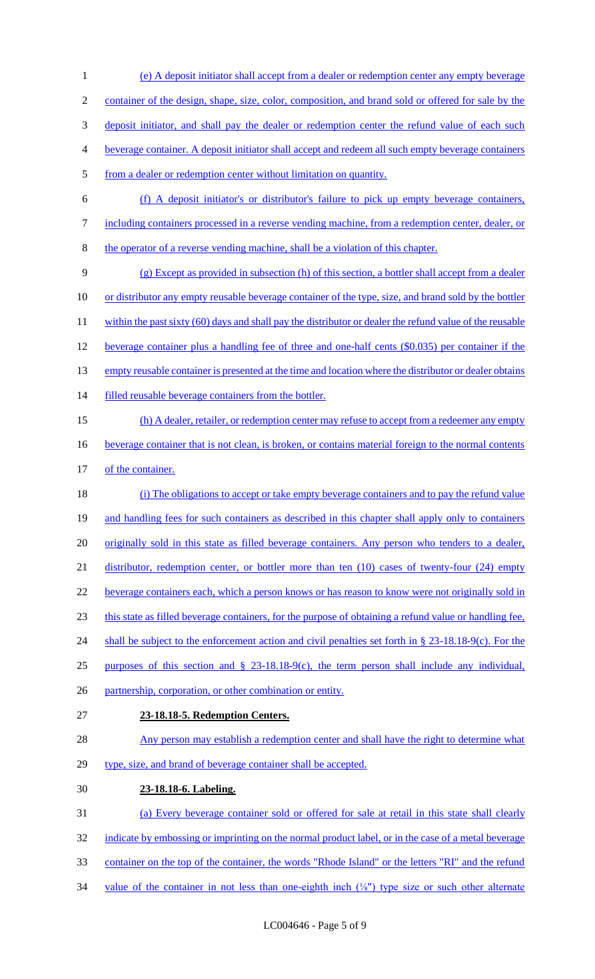2 container of the design, shape, size, color, composition, and brand sold or offered for sale by the 3 deposit initiator, and shall pay the dealer or redemption center the refund value of each such 4 beverage container. A deposit initiator shall accept and redeem all such empty beverage containers 5 from a dealer or redemption center without limitation on quantity. 6 (f) A deposit initiator's or distributor's failure to pick up empty beverage containers, 7 including containers processed in a reverse vending machine, from a redemption center, dealer, or 8 the operator of a reverse vending machine, shall be a violation of this chapter. 9 (g) Except as provided in subsection (h) of this section, a bottler shall accept from a dealer 10 or distributor any empty reusable beverage container of the type, size, and brand sold by the bottler 11 within the past sixty (60) days and shall pay the distributor or dealer the refund value of the reusable 12 beverage container plus a handling fee of three and one-half cents (\$0.035) per container if the 13 empty reusable container is presented at the time and location where the distributor or dealer obtains 14 filled reusable beverage containers from the bottler. 15 (h) A dealer, retailer, or redemption center may refuse to accept from a redeemer any empty 16 beverage container that is not clean, is broken, or contains material foreign to the normal contents 17 of the container. 18 (i) The obligations to accept or take empty beverage containers and to pay the refund value 19 and handling fees for such containers as described in this chapter shall apply only to containers 20 originally sold in this state as filled beverage containers. Any person who tenders to a dealer, 21 distributor, redemption center, or bottler more than ten (10) cases of twenty-four (24) empty 22 beverage containers each, which a person knows or has reason to know were not originally sold in 23 this state as filled beverage containers, for the purpose of obtaining a refund value or handling fee, 24 shall be subject to the enforcement action and civil penalties set forth in § 23-18.18-9(c). For the 25 purposes of this section and § 23-18.18-9(c), the term person shall include any individual, 26 partnership, corporation, or other combination or entity. 27 **23-18.18-5. Redemption Centers.**  28 Any person may establish a redemption center and shall have the right to determine what 29 type, size, and brand of beverage container shall be accepted. 30 **23-18.18-6. Labeling.**  31 (a) Every beverage container sold or offered for sale at retail in this state shall clearly 32 indicate by embossing or imprinting on the normal product label, or in the case of a metal beverage 33 container on the top of the container, the words "Rhode Island" or the letters "RI" and the refund 34 value of the container in not less than one-eighth inch (1/8") type size or such other alternate

1 (e) A deposit initiator shall accept from a dealer or redemption center any empty beverage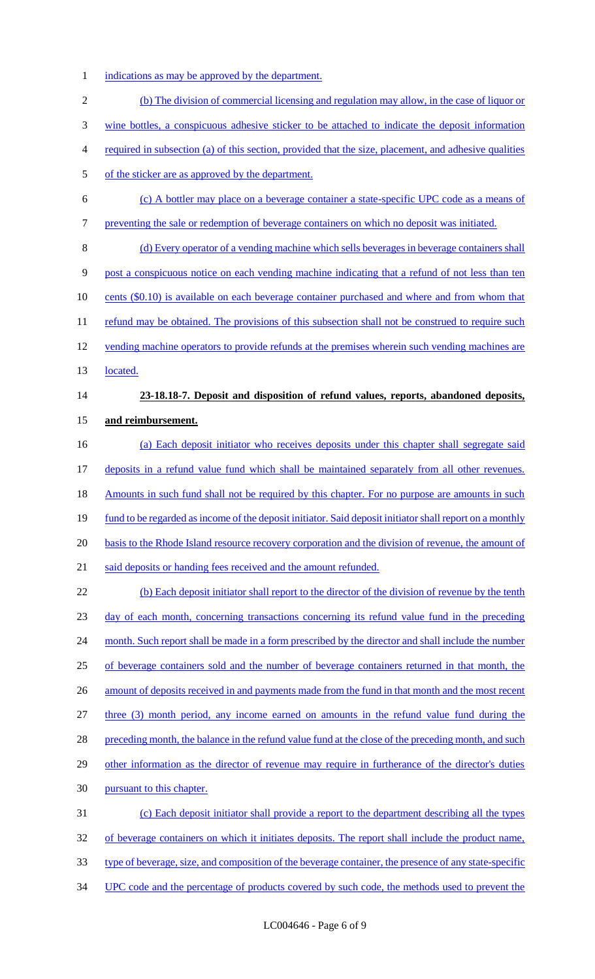1 indications as may be approved by the department.

2 (b) The division of commercial licensing and regulation may allow, in the case of liquor or 3 wine bottles, a conspicuous adhesive sticker to be attached to indicate the deposit information 4 required in subsection (a) of this section, provided that the size, placement, and adhesive qualities 5 of the sticker are as approved by the department. 6 (c) A bottler may place on a beverage container a state-specific UPC code as a means of 7 preventing the sale or redemption of beverage containers on which no deposit was initiated. 8 (d) Every operator of a vending machine which sells beverages in beverage containers shall 9 post a conspicuous notice on each vending machine indicating that a refund of not less than ten 10 cents (\$0.10) is available on each beverage container purchased and where and from whom that 11 refund may be obtained. The provisions of this subsection shall not be construed to require such 12 vending machine operators to provide refunds at the premises wherein such vending machines are 13 located. 14 **23-18.18-7. Deposit and disposition of refund values, reports, abandoned deposits,**  15 **and reimbursement.**  16 (a) Each deposit initiator who receives deposits under this chapter shall segregate said 17 deposits in a refund value fund which shall be maintained separately from all other revenues. 18 Amounts in such fund shall not be required by this chapter. For no purpose are amounts in such 19 fund to be regarded as income of the deposit initiator. Said deposit initiator shall report on a monthly 20 basis to the Rhode Island resource recovery corporation and the division of revenue, the amount of 21 said deposits or handing fees received and the amount refunded. 22 (b) Each deposit initiator shall report to the director of the division of revenue by the tenth 23 day of each month, concerning transactions concerning its refund value fund in the preceding 24 month. Such report shall be made in a form prescribed by the director and shall include the number 25 of beverage containers sold and the number of beverage containers returned in that month, the 26 amount of deposits received in and payments made from the fund in that month and the most recent 27 three (3) month period, any income earned on amounts in the refund value fund during the 28 preceding month, the balance in the refund value fund at the close of the preceding month, and such 29 other information as the director of revenue may require in furtherance of the director's duties 30 pursuant to this chapter. 31 (c) Each deposit initiator shall provide a report to the department describing all the types 32 of beverage containers on which it initiates deposits. The report shall include the product name, 33 type of beverage, size, and composition of the beverage container, the presence of any state-specific 34 UPC code and the percentage of products covered by such code, the methods used to prevent the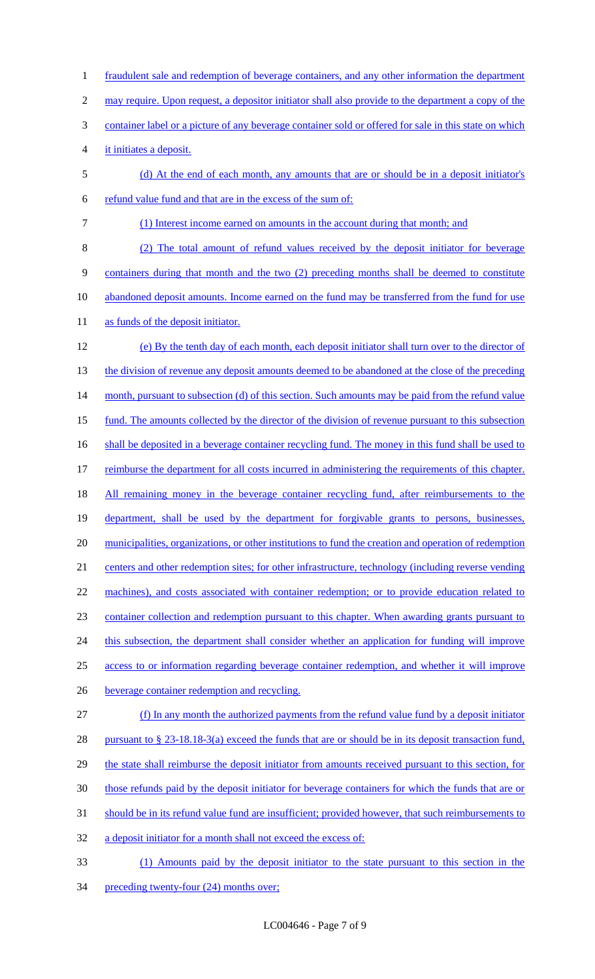1 fraudulent sale and redemption of beverage containers, and any other information the department 2 may require. Upon request, a depositor initiator shall also provide to the department a copy of the 3 container label or a picture of any beverage container sold or offered for sale in this state on which 4 it initiates a deposit. 5 (d) At the end of each month, any amounts that are or should be in a deposit initiator's 6 refund value fund and that are in the excess of the sum of: 7 (1) Interest income earned on amounts in the account during that month; and 8 (2) The total amount of refund values received by the deposit initiator for beverage 9 containers during that month and the two (2) preceding months shall be deemed to constitute 10 abandoned deposit amounts. Income earned on the fund may be transferred from the fund for use 11 as funds of the deposit initiator. 12 (e) By the tenth day of each month, each deposit initiator shall turn over to the director of 13 the division of revenue any deposit amounts deemed to be abandoned at the close of the preceding 14 month, pursuant to subsection (d) of this section. Such amounts may be paid from the refund value 15 fund. The amounts collected by the director of the division of revenue pursuant to this subsection 16 shall be deposited in a beverage container recycling fund. The money in this fund shall be used to 17 reimburse the department for all costs incurred in administering the requirements of this chapter. 18 All remaining money in the beverage container recycling fund, after reimbursements to the 19 department, shall be used by the department for forgivable grants to persons, businesses, 20 municipalities, organizations, or other institutions to fund the creation and operation of redemption 21 centers and other redemption sites; for other infrastructure, technology (including reverse vending 22 machines), and costs associated with container redemption; or to provide education related to 23 container collection and redemption pursuant to this chapter. When awarding grants pursuant to 24 this subsection, the department shall consider whether an application for funding will improve 25 access to or information regarding beverage container redemption, and whether it will improve 26 beverage container redemption and recycling. 27 (f) In any month the authorized payments from the refund value fund by a deposit initiator 28 pursuant to § 23-18.18-3(a) exceed the funds that are or should be in its deposit transaction fund, 29 the state shall reimburse the deposit initiator from amounts received pursuant to this section, for 30 those refunds paid by the deposit initiator for beverage containers for which the funds that are or 31 should be in its refund value fund are insufficient; provided however, that such reimbursements to 32 a deposit initiator for a month shall not exceed the excess of: 33 (1) Amounts paid by the deposit initiator to the state pursuant to this section in the 34 preceding twenty-four (24) months over;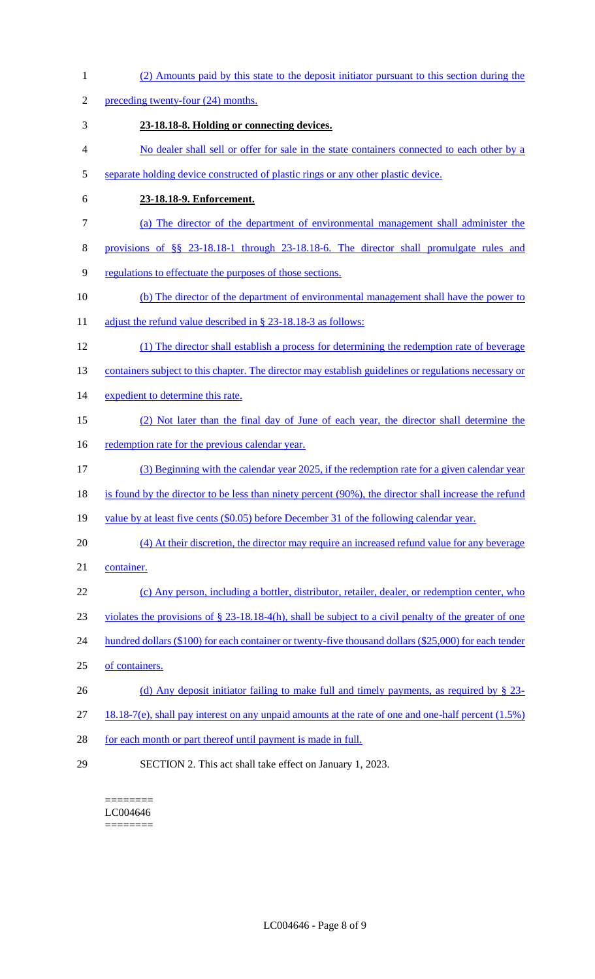(2) Amounts paid by this state to the deposit initiator pursuant to this section during the 2 preceding twenty-four (24) months. **23-18.18-8. Holding or connecting devices.**  No dealer shall sell or offer for sale in the state containers connected to each other by a separate holding device constructed of plastic rings or any other plastic device. **23-18.18-9. Enforcement.**  (a) The director of the department of environmental management shall administer the provisions of §§ 23-18.18-1 through 23-18.18-6. The director shall promulgate rules and regulations to effectuate the purposes of those sections. (b) The director of the department of environmental management shall have the power to 11 adjust the refund value described in § 23-18.18-3 as follows: (1) The director shall establish a process for determining the redemption rate of beverage 13 containers subject to this chapter. The director may establish guidelines or regulations necessary or 14 expedient to determine this rate. (2) Not later than the final day of June of each year, the director shall determine the 16 redemption rate for the previous calendar year. (3) Beginning with the calendar year 2025, if the redemption rate for a given calendar year 18 is found by the director to be less than ninety percent (90%), the director shall increase the refund 19 value by at least five cents (\$0.05) before December 31 of the following calendar year. (4) At their discretion, the director may require an increased refund value for any beverage container. (c) Any person, including a bottler, distributor, retailer, dealer, or redemption center, who violates the provisions of § 23-18.18-4(h), shall be subject to a civil penalty of the greater of one 24 hundred dollars (\$100) for each container or twenty-five thousand dollars (\$25,000) for each tender of containers. 26 (d) Any deposit initiator failing to make full and timely payments, as required by § 23- 18.18-7(e), shall pay interest on any unpaid amounts at the rate of one and one-half percent (1.5%) 28 for each month or part thereof until payment is made in full. SECTION 2. This act shall take effect on January 1, 2023.

======== LC004646 ========